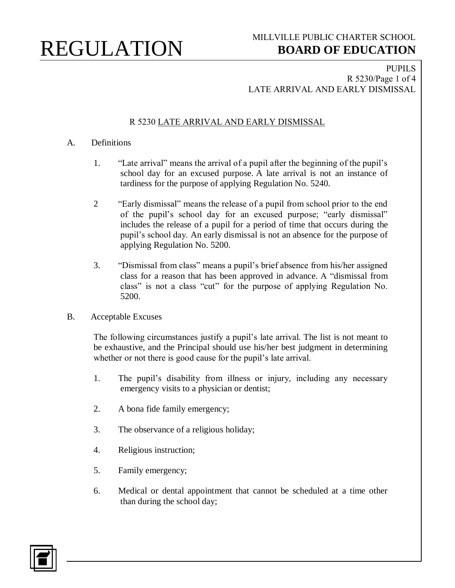#### PUPILS R 5230/Page 1 of 4 LATE ARRIVAL AND EARLY DISMISSAL

### R 5230 LATE ARRIVAL AND EARLY DISMISSAL

#### A. Definitions

- 1. "Late arrival" means the arrival of a pupil after the beginning of the pupil's school day for an excused purpose. A late arrival is not an instance of tardiness for the purpose of applying Regulation No. 5240.
- 2 "Early dismissal" means the release of a pupil from school prior to the end of the pupil's school day for an excused purpose; "early dismissal" includes the release of a pupil for a period of time that occurs during the pupil's school day. An early dismissal is not an absence for the purpose of applying Regulation No. 5200.
- 3. "Dismissal from class" means a pupil's brief absence from his/her assigned class for a reason that has been approved in advance. A "dismissal from class" is not a class "cut" for the purpose of applying Regulation No. 5200.
- B. Acceptable Excuses

The following circumstances justify a pupil's late arrival. The list is not meant to be exhaustive, and the Principal should use his/her best judgment in determining whether or not there is good cause for the pupil's late arrival.

- 1. The pupil's disability from illness or injury, including any necessary emergency visits to a physician or dentist;
- 2. A bona fide family emergency;
- 3. The observance of a religious holiday;
- 4. Religious instruction;
- 5. Family emergency;
- 6. Medical or dental appointment that cannot be scheduled at a time other than during the school day;

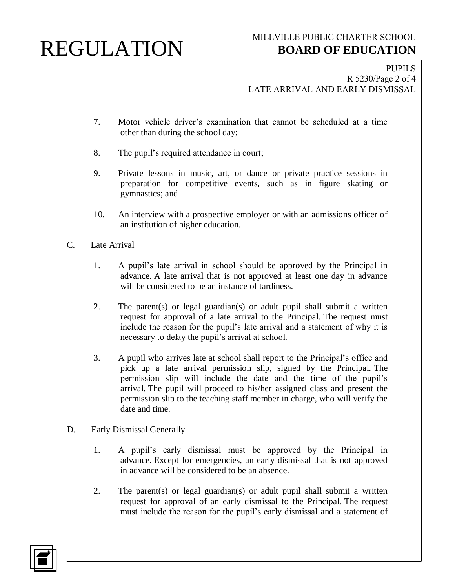PUPILS R 5230/Page 2 of 4 LATE ARRIVAL AND EARLY DISMISSAL

- 7. Motor vehicle driver's examination that cannot be scheduled at a time other than during the school day;
- 8. The pupil's required attendance in court;
- 9. Private lessons in music, art, or dance or private practice sessions in preparation for competitive events, such as in figure skating or gymnastics; and
- 10. An interview with a prospective employer or with an admissions officer of an institution of higher education.
- C. Late Arrival
	- 1. A pupil's late arrival in school should be approved by the Principal in advance. A late arrival that is not approved at least one day in advance will be considered to be an instance of tardiness.
	- 2. The parent(s) or legal guardian(s) or adult pupil shall submit a written request for approval of a late arrival to the Principal. The request must include the reason for the pupil's late arrival and a statement of why it is necessary to delay the pupil's arrival at school.
	- 3. A pupil who arrives late at school shall report to the Principal's office and pick up a late arrival permission slip, signed by the Principal. The permission slip will include the date and the time of the pupil's arrival. The pupil will proceed to his/her assigned class and present the permission slip to the teaching staff member in charge, who will verify the date and time.
- D. Early Dismissal Generally
	- 1. A pupil's early dismissal must be approved by the Principal in advance. Except for emergencies, an early dismissal that is not approved in advance will be considered to be an absence.
	- 2. The parent(s) or legal guardian(s) or adult pupil shall submit a written request for approval of an early dismissal to the Principal. The request must include the reason for the pupil's early dismissal and a statement of

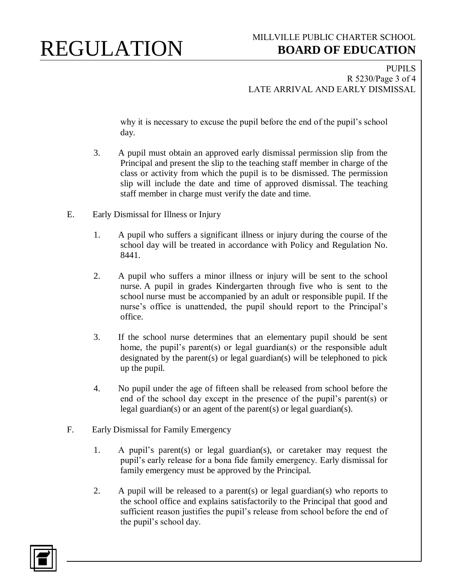PUPILS R 5230/Page 3 of 4 LATE ARRIVAL AND EARLY DISMISSAL

why it is necessary to excuse the pupil before the end of the pupil's school day.

- 3. A pupil must obtain an approved early dismissal permission slip from the Principal and present the slip to the teaching staff member in charge of the class or activity from which the pupil is to be dismissed. The permission slip will include the date and time of approved dismissal. The teaching staff member in charge must verify the date and time.
- E. Early Dismissal for Illness or Injury
	- 1. A pupil who suffers a significant illness or injury during the course of the school day will be treated in accordance with Policy and Regulation No. 8441.
	- 2. A pupil who suffers a minor illness or injury will be sent to the school nurse. A pupil in grades Kindergarten through five who is sent to the school nurse must be accompanied by an adult or responsible pupil. If the nurse's office is unattended, the pupil should report to the Principal's office.
	- 3. If the school nurse determines that an elementary pupil should be sent home, the pupil's parent(s) or legal guardian(s) or the responsible adult designated by the parent(s) or legal guardian(s) will be telephoned to pick up the pupil.
	- 4. No pupil under the age of fifteen shall be released from school before the end of the school day except in the presence of the pupil's parent(s) or legal guardian(s) or an agent of the parent(s) or legal guardian(s).
- F. Early Dismissal for Family Emergency
	- 1. A pupil's parent(s) or legal guardian(s), or caretaker may request the pupil's early release for a bona fide family emergency. Early dismissal for family emergency must be approved by the Principal.
	- 2. A pupil will be released to a parent(s) or legal guardian(s) who reports to the school office and explains satisfactorily to the Principal that good and sufficient reason justifies the pupil's release from school before the end of the pupil's school day.